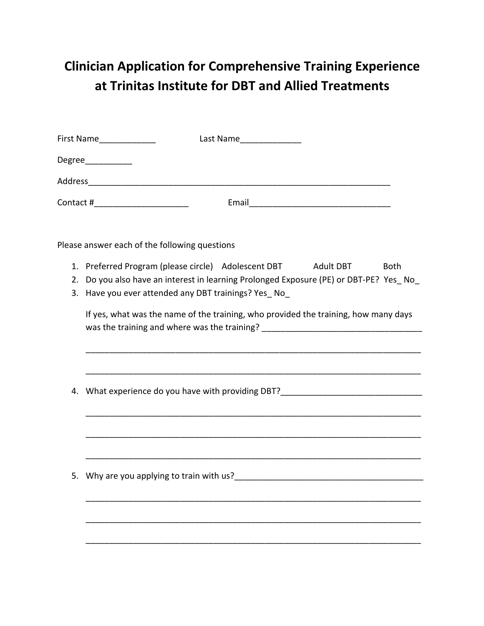## **Clinician Application for Comprehensive Training Experience** at Trinitas Institute for DBT and Allied Treatments

|                                                                                                                                                                         | First Name______________<br>Last Name________________                                                                                   |  |  |
|-------------------------------------------------------------------------------------------------------------------------------------------------------------------------|-----------------------------------------------------------------------------------------------------------------------------------------|--|--|
|                                                                                                                                                                         | Degree____________                                                                                                                      |  |  |
|                                                                                                                                                                         |                                                                                                                                         |  |  |
|                                                                                                                                                                         | Contact #_______________________                                                                                                        |  |  |
|                                                                                                                                                                         | Please answer each of the following questions                                                                                           |  |  |
|                                                                                                                                                                         | 1. Preferred Program (please circle) Adolescent DBT Adult DBT<br><b>Both</b>                                                            |  |  |
| 2.<br>3.                                                                                                                                                                | Do you also have an interest in learning Prolonged Exposure (PE) or DBT-PE? Yes No<br>Have you ever attended any DBT trainings? Yes_No_ |  |  |
| If yes, what was the name of the training, who provided the training, how many days<br>was the training and where was the training? ___________________________________ |                                                                                                                                         |  |  |
| 4.                                                                                                                                                                      | What experience do you have with providing DBT?<br>What experience do you have with providing DBT?                                      |  |  |
|                                                                                                                                                                         |                                                                                                                                         |  |  |
|                                                                                                                                                                         | 5. Why are you applying to train with us?                                                                                               |  |  |
|                                                                                                                                                                         |                                                                                                                                         |  |  |
|                                                                                                                                                                         |                                                                                                                                         |  |  |
|                                                                                                                                                                         |                                                                                                                                         |  |  |